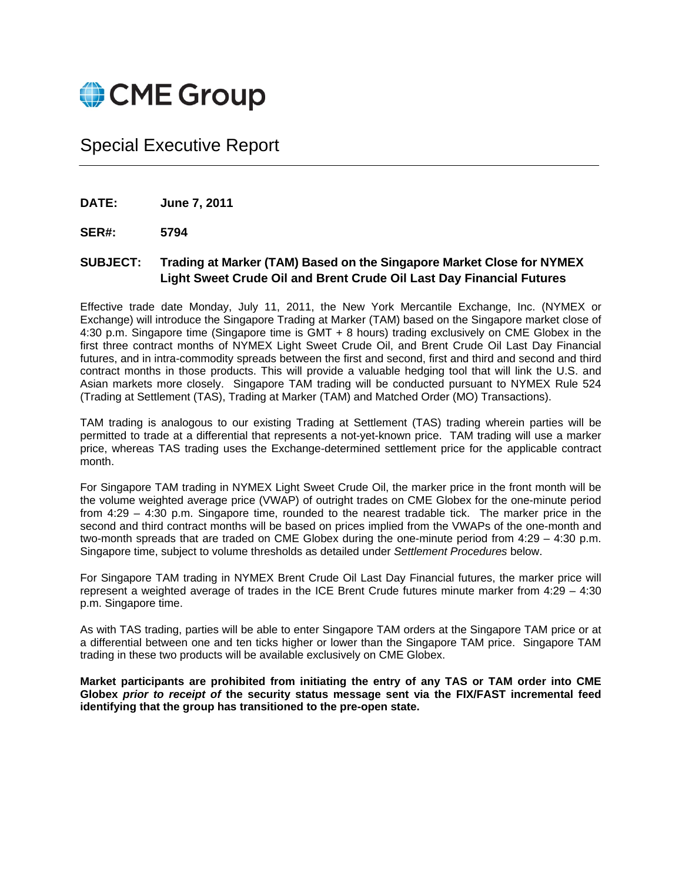

Special Executive Report

**DATE: June 7, 2011** 

**SER#: 5794** 

## **SUBJECT: Trading at Marker (TAM) Based on the Singapore Market Close for NYMEX Light Sweet Crude Oil and Brent Crude Oil Last Day Financial Futures**

Effective trade date Monday, July 11, 2011, the New York Mercantile Exchange, Inc. (NYMEX or Exchange) will introduce the Singapore Trading at Marker (TAM) based on the Singapore market close of 4:30 p.m. Singapore time (Singapore time is GMT + 8 hours) trading exclusively on CME Globex in the first three contract months of NYMEX Light Sweet Crude Oil, and Brent Crude Oil Last Day Financial futures, and in intra-commodity spreads between the first and second, first and third and second and third contract months in those products. This will provide a valuable hedging tool that will link the U.S. and Asian markets more closely. Singapore TAM trading will be conducted pursuant to NYMEX Rule 524 (Trading at Settlement (TAS), Trading at Marker (TAM) and Matched Order (MO) Transactions).

TAM trading is analogous to our existing Trading at Settlement (TAS) trading wherein parties will be permitted to trade at a differential that represents a not-yet-known price. TAM trading will use a marker price, whereas TAS trading uses the Exchange-determined settlement price for the applicable contract month.

For Singapore TAM trading in NYMEX Light Sweet Crude Oil, the marker price in the front month will be the volume weighted average price (VWAP) of outright trades on CME Globex for the one-minute period from 4:29 – 4:30 p.m. Singapore time, rounded to the nearest tradable tick. The marker price in the second and third contract months will be based on prices implied from the VWAPs of the one-month and two-month spreads that are traded on CME Globex during the one-minute period from 4:29 – 4:30 p.m. Singapore time, subject to volume thresholds as detailed under *Settlement Procedures* below.

For Singapore TAM trading in NYMEX Brent Crude Oil Last Day Financial futures, the marker price will represent a weighted average of trades in the ICE Brent Crude futures minute marker from 4:29 – 4:30 p.m. Singapore time.

As with TAS trading, parties will be able to enter Singapore TAM orders at the Singapore TAM price or at a differential between one and ten ticks higher or lower than the Singapore TAM price. Singapore TAM trading in these two products will be available exclusively on CME Globex.

**Market participants are prohibited from initiating the entry of any TAS or TAM order into CME Globex** *prior to receipt of* **the security status message sent via the FIX/FAST incremental feed identifying that the group has transitioned to the pre-open state.**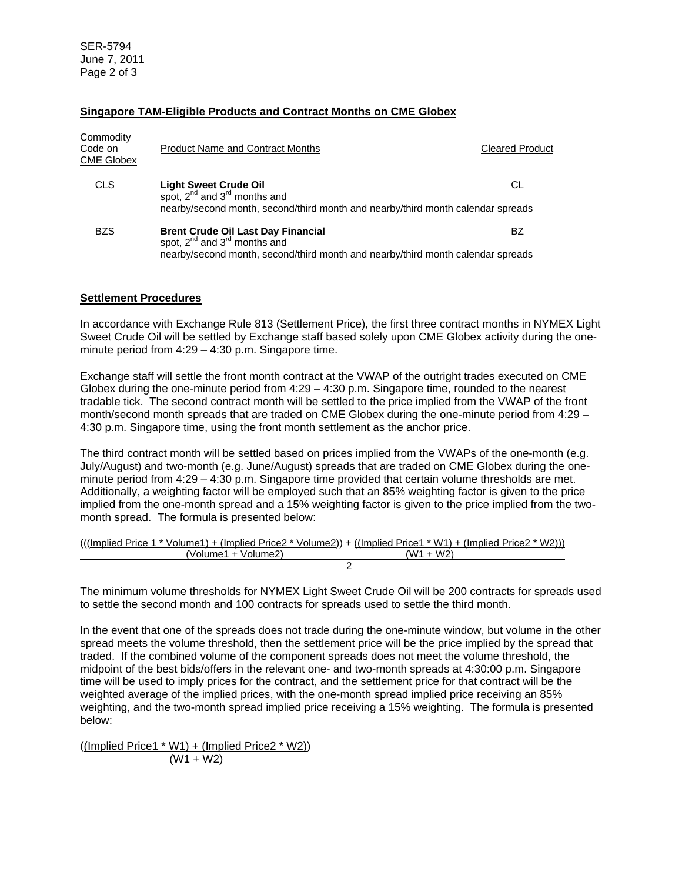SER-5794 June 7, 2011 Page 2 of 3

## **Singapore TAM-Eligible Products and Contract Months on CME Globex**

| Commodity<br>Code on<br>CME Globex | <b>Product Name and Contract Months</b>                                                                                                                                | <b>Cleared Product</b> |
|------------------------------------|------------------------------------------------------------------------------------------------------------------------------------------------------------------------|------------------------|
| <b>CLS</b>                         | <b>Light Sweet Crude Oil</b><br>spot, $2^{nd}$ and $3^{rd}$ months and<br>nearby/second month, second/third month and nearby/third month calendar spreads              | СL                     |
| <b>BZS</b>                         | <b>Brent Crude Oil Last Day Financial</b><br>spot, $2^{nd}$ and $3^{rd}$ months and<br>nearby/second month, second/third month and nearby/third month calendar spreads | BZ                     |

## **Settlement Procedures**

In accordance with Exchange Rule 813 (Settlement Price), the first three contract months in NYMEX Light Sweet Crude Oil will be settled by Exchange staff based solely upon CME Globex activity during the oneminute period from 4:29 – 4:30 p.m. Singapore time.

Exchange staff will settle the front month contract at the VWAP of the outright trades executed on CME Globex during the one-minute period from 4:29 – 4:30 p.m. Singapore time, rounded to the nearest tradable tick. The second contract month will be settled to the price implied from the VWAP of the front month/second month spreads that are traded on CME Globex during the one-minute period from 4:29 – 4:30 p.m. Singapore time, using the front month settlement as the anchor price.

The third contract month will be settled based on prices implied from the VWAPs of the one-month (e.g. July/August) and two-month (e.g. June/August) spreads that are traded on CME Globex during the oneminute period from 4:29 – 4:30 p.m. Singapore time provided that certain volume thresholds are met. Additionally, a weighting factor will be employed such that an 85% weighting factor is given to the price implied from the one-month spread and a 15% weighting factor is given to the price implied from the twomonth spread. The formula is presented below:

|                     | (((Implied Price 1 * Volume1) + (Implied Price2 * Volume2)) + ((Implied Price1 * W1) + (Implied Price2 * W2))) |
|---------------------|----------------------------------------------------------------------------------------------------------------|
| (Volume1 + Volume2) | $(W1 + W2)$                                                                                                    |
|                     |                                                                                                                |

The minimum volume thresholds for NYMEX Light Sweet Crude Oil will be 200 contracts for spreads used to settle the second month and 100 contracts for spreads used to settle the third month.

In the event that one of the spreads does not trade during the one-minute window, but volume in the other spread meets the volume threshold, then the settlement price will be the price implied by the spread that traded. If the combined volume of the component spreads does not meet the volume threshold, the midpoint of the best bids/offers in the relevant one- and two-month spreads at 4:30:00 p.m. Singapore time will be used to imply prices for the contract, and the settlement price for that contract will be the weighted average of the implied prices, with the one-month spread implied price receiving an 85% weighting, and the two-month spread implied price receiving a 15% weighting. The formula is presented below:

((Implied Price1 \* W1) + (Implied Price2 \* W2)) (W1 + W2)